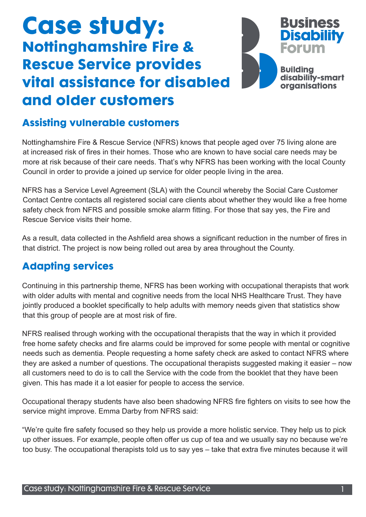# **Case study: Nottinghamshire Fire & Rescue Service provides vital assistance for disabled and older customers**

## **Assisting vulnerable customers**

Nottinghamshire Fire & Rescue Service (NFRS) knows that people aged over 75 living alone are at increased risk of fires in their homes. Those who are known to have social care needs may be more at risk because of their care needs. That's why NFRS has been working with the local County Council in order to provide a joined up service for older people living in the area.

NFRS has a Service Level Agreement (SLA) with the Council whereby the Social Care Customer Contact Centre contacts all registered social care clients about whether they would like a free home safety check from NFRS and possible smoke alarm fitting. For those that say yes, the Fire and Rescue Service visits their home.

As a result, data collected in the Ashfield area shows a significant reduction in the number of fires in that district. The project is now being rolled out area by area throughout the County.

### **Adapting services**

Continuing in this partnership theme, NFRS has been working with occupational therapists that work with older adults with mental and cognitive needs from the local NHS Healthcare Trust. They have jointly produced a booklet specifically to help adults with memory needs given that statistics show that this group of people are at most risk of fire.

NFRS realised through working with the occupational therapists that the way in which it provided free home safety checks and fire alarms could be improved for some people with mental or cognitive needs such as dementia. People requesting a home safety check are asked to contact NFRS where they are asked a number of questions. The occupational therapists suggested making it easier – now all customers need to do is to call the Service with the code from the booklet that they have been given. This has made it a lot easier for people to access the service.

Occupational therapy students have also been shadowing NFRS fire fighters on visits to see how the service might improve. Emma Darby from NFRS said:

"We're quite fire safety focused so they help us provide a more holistic service. They help us to pick up other issues. For example, people often offer us cup of tea and we usually say no because we're too busy. The occupational therapists told us to say yes – take that extra five minutes because it will

**Business** 

**Forum** 

**Building** 

**Disability** 

disability-smart organisations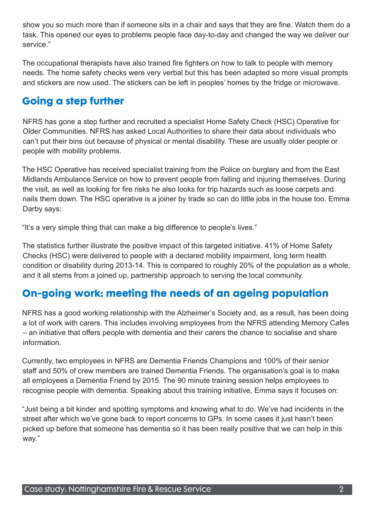show you so much more than if someone sits in a chair and says that they are fine. Watch them do a task. This opened our eyes to problems people face day-to-day and changed the way we deliver our service."

The occupational therapists have also trained fire fighters on how to talk to people with memory needs. The home safety checks were very verbal but this has been adapted so more visual prompts and stickers are now used. The stickers can be left in peoples' homes by the fridge or microwave.

#### **Going a step further**

NFRS has gone a step further and recruited a specialist Home Safety Check (HSC) Operative for Older Communities. NFRS has asked Local Authorities to share their data about individuals who can't put their bins out because of physical or mental disability. These are usually older people or people with mobility problems.

The HSC Operative has received specialist training from the Police on burglary and from the East Midlands Ambulance Service on how to prevent people from falling and injuring themselves. During the visit, as well as looking for fire risks he also looks for trip hazards such as loose carpets and nails them down. The HSC operative is a joiner by trade so can do little jobs in the house too. Emma Darby says:

"It's a very simple thing that can make a big difference to people's lives."

The statistics further illustrate the positive impact of this targeted initiative. 41% of Home Safety Checks (HSC) were delivered to people with a declared mobility impairment, long term health condition or disability during 2013-14. This is compared to roughly 20% of the population as a whole, and it all stems from a joined up, partnership approach to serving the local community.

### **On-going work: meeting the needs of an ageing population**

NFRS has a good working relationship with the Alzheimer's Society and, as a result, has been doing a lot of work with carers. This includes involving employees from the NFRS attending Memory Cafes – an initiative that offers people with dementia and their carers the chance to socialise and share information.

Currently, two employees in NFRS are Dementia Friends Champions and 100% of their senior staff and 50% of crew members are trained Dementia Friends. The organisation's goal is to make all employees a Dementia Friend by 2015. The 90 minute training session helps employees to recognise people with dementia. Speaking about this training initiative, Emma says it focuses on:

"Just being a bit kinder and spotting symptoms and knowing what to do. We've had incidents in the street after which we've gone back to report concerns to GPs. In some cases it just hasn't been picked up before that someone has dementia so it has been really positive that we can help in this way."